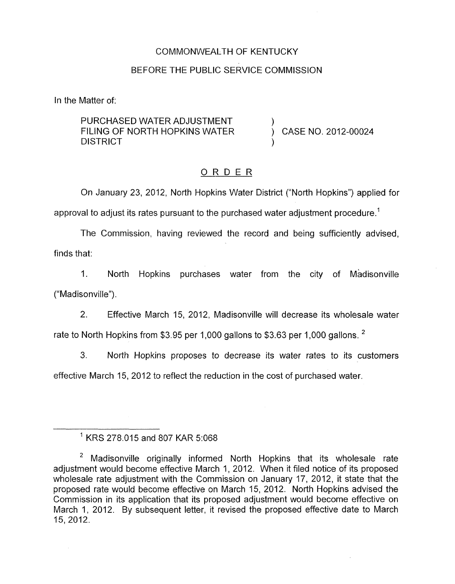### COMMONWEALTH OF KENTUCKY

### BEFORE THE PUBLIC SERVICE COMMISSION

In the Matter of:

PURCHASED WATER ADJUSTMENT **DISTRICT** FILING OF NORTH HOPKINS WATER  $\overrightarrow{)}$  CASE NO. 2012-00024

### ORDER

On January 23, 2012, North Hopkins Water District ("North Hopkins") applied for approval to adjust its rates pursuant to the purchased water adjustment procedure.<sup>1</sup>

The Commission, having reviewed the record and being sufficiently advised, finds that:

1. North Hopkins purchases water from the city of Madisonville ("Madisonville").

2. Effective March 15, 2012, Madisonville will decrease its wholesale water rate to North Hopkins from \$3.95 per 1,000 gallons to \$3.63 per 1,000 gallons.  $^2$ 

3. North Hopkins proposes to decrease its water rates to its customers effective March 15, 2012 to reflect the reduction in the cost of purchased water.

<sup>&#</sup>x27; KRS 278.015 and 807 KAR 5:068

<sup>&</sup>lt;sup>2</sup> Madisonville originally informed North Hopkins that its wholesale rate adjustment would become effective March 1, 2012. When it filed notice of its proposed wholesale rate adjustment with the Commission on January 17, 2012, it state that the proposed rate would become effective on March 15, 2012. North Hopkins advised the Commission in its application that its proposed adjustment would become effective on March 1, 2012. By subsequent letter, it revised the proposed effective date to March 15, 2012.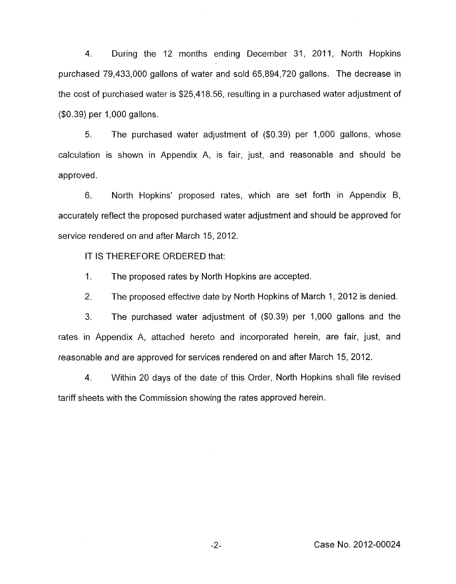4. During the I2 months ending December 31, 2011, North Hopkins purchased 79,433,000 gallons of water and sold 65,894,720 gallons. The decrease in the cost of purchased water is \$25,418.56, resulting in a purchased water adjustment of (\$0.39) per 1,000 gallons.

*5.* The purchased water adjustment of (\$0.39) per 1,000 gallons, whose calculation is shown in Appendix A, is fair, just, and reasonable and should be approved.

6. North Hopkins' proposed rates, which are set forth in Appendix B, accurately reflect the proposed purchased water adjustment and should be approved for service rendered on and after March 15, 2012.

IT IS THEREFORE ORDERED that:

1. The proposed rates by North Hopkins are accepted.

2. The proposed effective date by North Hopkins of March 1, 2012 is denied.

3. The purchased water adjustment of (\$0.39) per 1,000 gallons and the rates in Appendix A, attached hereto and incorporated herein, are fair, just, and reasonable and are approved for services rendered on and after March 15,2012.

4. Within 20 days of the date of this Order, North Hopkins shall file revised tariff sheets with the Commission showing the rates approved herein.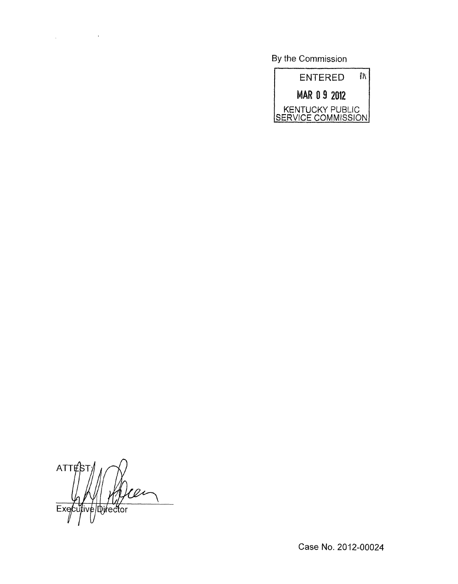**By** the Commission



ATTE e birector Executiv

 $\label{eq:2.1} \frac{1}{\sqrt{2}}\int_{\mathbb{R}^{2}}\left|\frac{d\mathbf{x}}{d\mathbf{x}}\right|^{2}d\mathbf{x}^{2}d\mathbf{x}^{2}d\mathbf{x}^{2}d\mathbf{x}^{2}d\mathbf{x}^{2}d\mathbf{x}^{2}d\mathbf{x}^{2}d\mathbf{x}^{2}d\mathbf{x}^{2}d\mathbf{x}^{2}d\mathbf{x}^{2}d\mathbf{x}^{2}d\mathbf{x}^{2}d\mathbf{x}^{2}d\mathbf{x}^{2}d\mathbf{x}^{2}d\mathbf{x}^{2}d\mathbf{x}^{2}d\math$ 

Case No. 2012-00024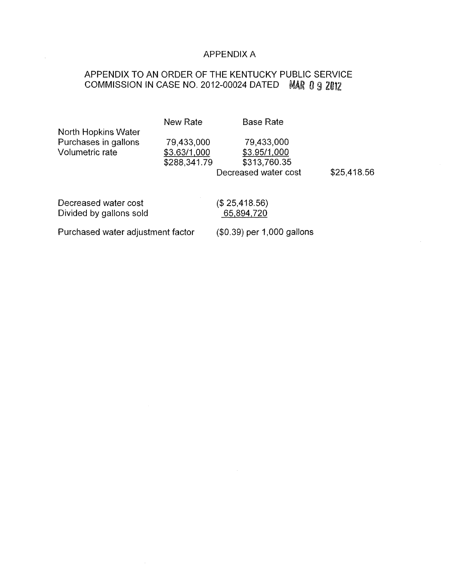### APPENDIX A

# APPENDIX TO AN ORDER OF THE KENTUCKY PUBLIC SERVICE COMMISSION IN CASE NO. 2012-00024 DATED MAR 0 9 2012

|                                   | New Rate     | <b>Base Rate</b>           |             |  |
|-----------------------------------|--------------|----------------------------|-------------|--|
| North Hopkins Water               |              |                            |             |  |
| Purchases in gallons              | 79,433,000   | 79,433,000                 |             |  |
| Volumetric rate                   | \$3.63/1,000 | \$3.95/1,000               |             |  |
|                                   | \$288,341.79 | \$313,760.35               |             |  |
|                                   |              | Decreased water cost       | \$25,418.56 |  |
|                                   |              |                            |             |  |
| Decreased water cost              |              | (\$25,418.56)              |             |  |
| Divided by gallons sold           |              | 65,894,720                 |             |  |
| Purchased water adjustment factor |              | (\$0.39) per 1,000 gallons |             |  |

 $\mathcal{L}_{\mathcal{A}}$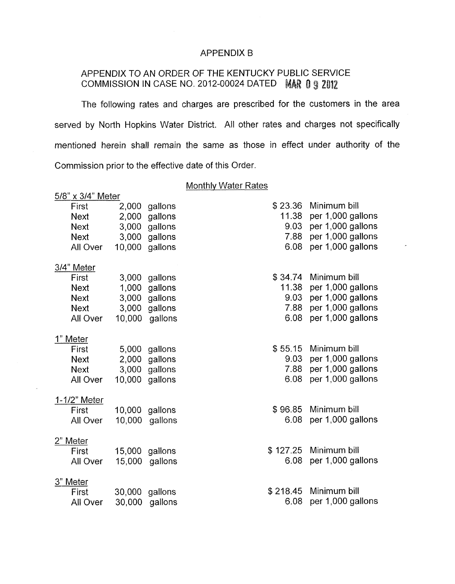### APPENDIX B

## APPENDIX TO AN ORDER OF THE KENTUCKY PUBLIC SERVICE COMMISSION IN CASE NO. 2012-00024 DATED **MAR 0 9 2012**

The following rates and charges are prescribed for the customers in the area served by North Hopkins Water District. All other rates and charges not specifically mentioned herein shall remain the same as those in effect under authority of the Commission prior to the effective date of this Order.

#### Monthly Water Rates

| 5/8" x 3/4" Meter |             |        |         |  |          |                   |
|-------------------|-------------|--------|---------|--|----------|-------------------|
|                   | First       | 2,000  | gallons |  | \$23.36  | Minimum bill      |
|                   | <b>Next</b> | 2,000  | gallons |  | 11.38    | per 1,000 gallons |
|                   | <b>Next</b> | 3,000  | gallons |  | 9.03     | per 1,000 gallons |
|                   | <b>Next</b> | 3,000  | gallons |  | 7.88     | per 1,000 gallons |
|                   | All Over    | 10,000 | gallons |  | 6.08     | per 1,000 gallons |
| 3/4" Meter        |             |        |         |  |          |                   |
|                   | First       | 3,000  | gallons |  | \$34.74  | Minimum bill      |
|                   | <b>Next</b> | 1,000  | gallons |  | 11.38    | per 1,000 gallons |
|                   | <b>Next</b> | 3,000  | gallons |  | 9.03     | per 1,000 gallons |
|                   | <b>Next</b> | 3,000  | gallons |  | 7.88     | per 1,000 gallons |
|                   | All Over    | 10,000 | gallons |  | 6.08     | per 1,000 gallons |
| 1" Meter          |             |        |         |  |          |                   |
|                   | First       | 5,000  | gallons |  | \$55.15  | Minimum bill      |
|                   | <b>Next</b> | 2,000  | gallons |  | 9.03     | per 1,000 gallons |
|                   | <b>Next</b> | 3,000  | gallons |  | 7.88     | per 1,000 gallons |
|                   | All Over    | 10,000 | gallons |  | 6.08     | per 1,000 gallons |
| 1-1/2" Meter      |             |        |         |  |          |                   |
|                   | First       | 10,000 | gallons |  | \$96.85  | Minimum bill      |
|                   | All Over    | 10,000 | gallons |  | 6.08     | per 1,000 gallons |
| 2" Meter          |             |        |         |  |          |                   |
|                   | First       | 15,000 | gallons |  | \$127.25 | Minimum bill      |
|                   | All Over    | 15,000 | gallons |  | 6.08     | per 1,000 gallons |
| 3" Meter          |             |        |         |  |          |                   |
|                   | First       | 30,000 | gallons |  | \$218.45 | Minimum bill      |
|                   | All Over    | 30,000 | gallons |  | 6.08     | per 1,000 gallons |